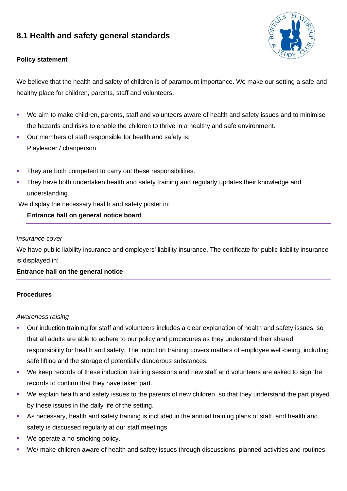# **8.1 Health and safety general standards**





We believe that the health and safety of children is of paramount importance. We make our setting a safe and healthy place for children, parents, staff and volunteers.

- We aim to make children, parents, staff and volunteers aware of health and safety issues and to minimise the hazards and risks to enable the children to thrive in a healthy and safe environment.
- Our members of staff responsible for health and safety is: Playleader / chairperson
- They are both competent to carry out these responsibilities.
- They have both undertaken health and safety training and regularly updates their knowledge and understanding.

We display the necessary health and safety poster in:

### **Entrance hall on general notice board**

#### *Insurance cover*

We have public liability insurance and employers' liability insurance. The certificate for public liability insurance is displayed in:

### **Entrance hall on the general notice**

#### **Procedures**

#### *Awareness raising*

- Our induction training for staff and volunteers includes a clear explanation of health and safety issues, so that all adults are able to adhere to our policy and procedures as they understand their shared responsibility for health and safety. The induction training covers matters of employee well-being, including safe lifting and the storage of potentially dangerous substances.
- We keep records of these induction training sessions and new staff and volunteers are asked to sign the records to confirm that they have taken part.
- We explain health and safety issues to the parents of new children, so that they understand the part played by these issues in the daily life of the setting.
- As necessary, health and safety training is included in the annual training plans of staff, and health and safety is discussed regularly at our staff meetings.
- We operate a no-smoking policy.
- We/ make children aware of health and safety issues through discussions, planned activities and routines.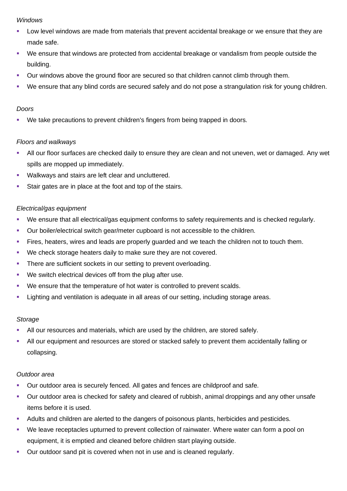#### *Windows*

- Low level windows are made from materials that prevent accidental breakage or we ensure that they are made safe.
- We ensure that windows are protected from accidental breakage or vandalism from people outside the building.
- Our windows above the ground floor are secured so that children cannot climb through them.
- We ensure that any blind cords are secured safely and do not pose a strangulation risk for young children.

#### *Doors*

We take precautions to prevent children's fingers from being trapped in doors.

### *Floors and walkways*

- All our floor surfaces are checked daily to ensure they are clean and not uneven, wet or damaged. Any wet spills are mopped up immediately.
- Walkways and stairs are left clear and uncluttered.
- Stair gates are in place at the foot and top of the stairs.

### *Electrical/gas equipment*

- We ensure that all electrical/gas equipment conforms to safety requirements and is checked regularly.
- Our boiler/electrical switch gear/meter cupboard is not accessible to the children.
- **EXECT FIRES, heaters, wires and leads are properly quarded and we teach the children not to touch them.**
- We check storage heaters daily to make sure they are not covered.
- There are sufficient sockets in our setting to prevent overloading.
- We switch electrical devices off from the plug after use.
- We ensure that the temperature of hot water is controlled to prevent scalds.
- **EXECT** Lighting and ventilation is adequate in all areas of our setting, including storage areas.

### *Storage*

- All our resources and materials, which are used by the children, are stored safely.
- **EXTEND 10 All our equipment and resources are stored or stacked safely to prevent them accidentally falling or** collapsing.

### *Outdoor area*

- Our outdoor area is securely fenced. All gates and fences are childproof and safe.
- Our outdoor area is checked for safety and cleared of rubbish, animal droppings and any other unsafe items before it is used.
- Adults and children are alerted to the dangers of poisonous plants, herbicides and pesticides.
- We leave receptacles upturned to prevent collection of rainwater. Where water can form a pool on equipment, it is emptied and cleaned before children start playing outside.
- Our outdoor sand pit is covered when not in use and is cleaned regularly.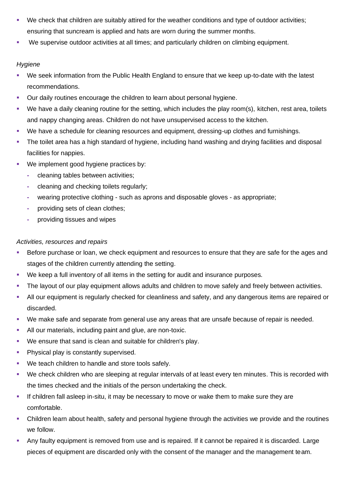- We check that children are suitably attired for the weather conditions and type of outdoor activities; ensuring that suncream is applied and hats are worn during the summer months.
- We supervise outdoor activities at all times; and particularly children on climbing equipment.

## *Hygiene*

- We seek information from the Public Health England to ensure that we keep up-to-date with the latest recommendations.
- **Our daily routines encourage the children to learn about personal hygiene.**
- We have a daily cleaning routine for the setting, which includes the play room(s), kitchen, rest area, toilets and nappy changing areas. Children do not have unsupervised access to the kitchen.
- We have a schedule for cleaning resources and equipment, dressing-up clothes and furnishings.
- The toilet area has a high standard of hygiene, including hand washing and drying facilities and disposal facilities for nappies.
- We implement good hygiene practices by:
	- **-** cleaning tables between activities;
	- **-** cleaning and checking toilets regularly;
	- **-** wearing protective clothing such as aprons and disposable gloves as appropriate;
	- **-** providing sets of clean clothes;
	- **-** providing tissues and wipes

# *Activities, resources and repairs*

- **EXEDENT Before purchase or loan, we check equipment and resources to ensure that they are safe for the ages and** stages of the children currently attending the setting.
- We keep a full inventory of all items in the setting for audit and insurance purposes.
- **•** The layout of our play equipment allows adults and children to move safely and freely between activities.
- All our equipment is regularly checked for cleanliness and safety, and any dangerous items are repaired or discarded.
- We make safe and separate from general use any areas that are unsafe because of repair is needed.
- **E** All our materials, including paint and glue, are non-toxic.
- We ensure that sand is clean and suitable for children's play.
- Physical play is constantly supervised.
- We teach children to handle and store tools safely.
- We check children who are sleeping at regular intervals of at least every ten minutes. This is recorded with the times checked and the initials of the person undertaking the check.
- **.** If children fall asleep in-situ, it may be necessary to move or wake them to make sure they are comfortable.
- Children learn about health, safety and personal hygiene through the activities we provide and the routines we follow.
- Any faulty equipment is removed from use and is repaired. If it cannot be repaired it is discarded. Large pieces of equipment are discarded only with the consent of the manager and the management team.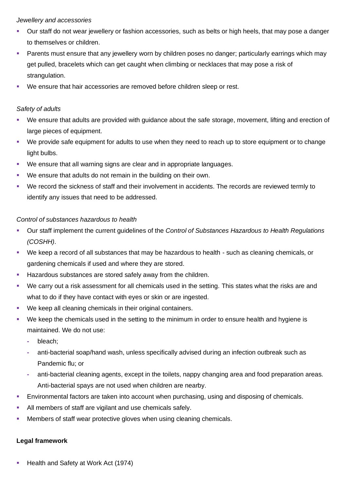#### *Jewellery and accessories*

- Our staff do not wear jewellery or fashion accessories, such as belts or high heels, that may pose a danger to themselves or children.
- Parents must ensure that any jewellery worn by children poses no danger; particularly earrings which may get pulled, bracelets which can get caught when climbing or necklaces that may pose a risk of strangulation.
- We ensure that hair accessories are removed before children sleep or rest.

### *Safety of adults*

- We ensure that adults are provided with guidance about the safe storage, movement, lifting and erection of large pieces of equipment.
- We provide safe equipment for adults to use when they need to reach up to store equipment or to change light bulbs.
- We ensure that all warning signs are clear and in appropriate languages.
- We ensure that adults do not remain in the building on their own.
- We record the sickness of staff and their involvement in accidents. The records are reviewed termly to identify any issues that need to be addressed.

### *Control of substances hazardous to health*

- Our staff implement the current guidelines of the *Control of Substances Hazardous to Health Regulations (COSHH)*.
- We keep a record of all substances that may be hazardous to health such as cleaning chemicals, or gardening chemicals if used and where they are stored.
- Hazardous substances are stored safely away from the children.
- We carry out a risk assessment for all chemicals used in the setting. This states what the risks are and what to do if they have contact with eyes or skin or are ingested.
- We keep all cleaning chemicals in their original containers.
- We keep the chemicals used in the setting to the minimum in order to ensure health and hygiene is maintained. We do not use:
	- **-** bleach;
	- **-** anti-bacterial soap/hand wash, unless specifically advised during an infection outbreak such as Pandemic flu; or
	- **-** anti-bacterial cleaning agents, except in the toilets, nappy changing area and food preparation areas. Anti-bacterial spays are not used when children are nearby.
- **Environmental factors are taken into account when purchasing, using and disposing of chemicals.**
- All members of staff are vigilant and use chemicals safely.
- Members of staff wear protective gloves when using cleaning chemicals.

### **Legal framework**

Health and Safety at Work Act (1974)